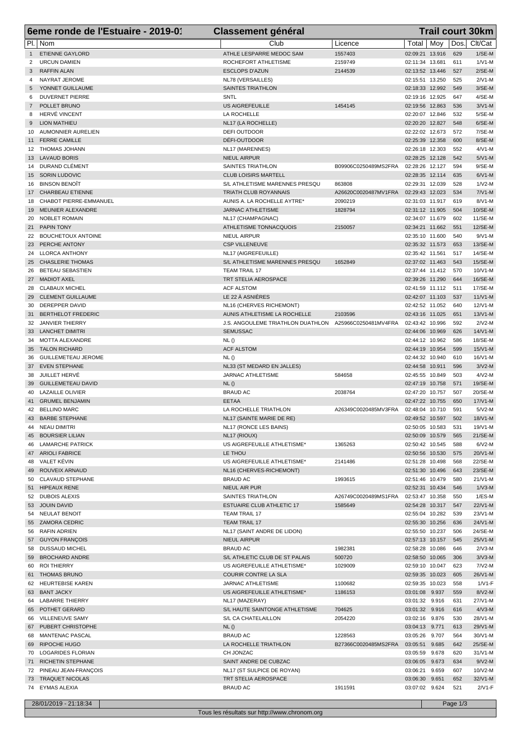|              | 6eme ronde de l'Estuaire - 2019-01<br><b>Classement général</b> |                                                        |                      |                                        | <b>Trail court 30km</b> |            |                      |  |
|--------------|-----------------------------------------------------------------|--------------------------------------------------------|----------------------|----------------------------------------|-------------------------|------------|----------------------|--|
|              | PI.   Nom                                                       | Club                                                   | Licence              | Total   Moy                            |                         | Dos.       | Clt/Cat              |  |
| $\mathbf{1}$ | <b>ETIENNE GAYLORD</b>                                          | ATHLE LESPARRE MEDOC SAM                               | 1557403              | 02:09:21 13.916                        |                         | 629        | $1/SE-M$             |  |
| 2            | <b>URCUN DAMIEN</b>                                             | ROCHEFORT ATHLETISME                                   | 2159749              | 02:11:34 13.681                        |                         | 611        | $1/N1-M$             |  |
| 3            | <b>RAFFIN ALAN</b>                                              | <b>ESCLOPS D'AZUN</b>                                  | 2144539              | 02:13:52 13.446                        |                         | 527        | $2/SE-M$             |  |
| 4            | NAYRAT JEROME                                                   | NL78 (VERSAILLES)                                      |                      | 02:15:51 13.250                        |                         | 525<br>549 | $2/N1-M$<br>$3/SE-M$ |  |
| 5<br>6       | YONNET GUILLAUME<br><b>DUVERNET PIERRE</b>                      | <b>SAINTES TRIATHLON</b><br>SNTL                       |                      | 02:18:33 12.992<br>02:19:16 12.925     |                         | 647        | 4/SE-M               |  |
| $7^{\circ}$  | POLLET BRUNO                                                    | <b>US AIGREFEUILLE</b>                                 | 1454145              | 02:19:56 12.863                        |                         | 536        | $3/N1-M$             |  |
| 8            | HERVÉ VINCENT                                                   | LA ROCHELLE                                            |                      | 02:20:07 12.846                        |                         | 532        | 5/SE-M               |  |
| 9            | <b>LION MATHIEU</b>                                             | NL17 (LA ROCHELLE)                                     |                      | 02:20:20 12.827                        |                         | 548        | 6/SE-M               |  |
| 10           | AUMONNIER AURELIEN                                              | DEFI OUTDOOR                                           |                      | 02:22:02 12.673                        |                         | 572        | 7/SE-M               |  |
| 11           | <b>FERRE CAMILLE</b>                                            | DÉFI-OUTDOOR                                           |                      | 02:25:39 12.358                        |                         | 600        | 8/SE-M               |  |
|              | 12 THOMAS JOHANN<br>13 LAVAUD BORIS                             | NL17 (MARENNES)<br><b>NIEUL AIRPUR</b>                 |                      | 02:26:18 12.303<br>02:28:25 12.128     |                         | 552<br>542 | $4/V1-M$<br>$5/N1-M$ |  |
| 14           | DURAND CLÉMENT                                                  | SAINTES TRIATHLON                                      | B09906C0250489MS2FRA | 02:28:26 12.127                        |                         | 594        | $9/SE-M$             |  |
|              | 15 SORIN LUDOVIC                                                | <b>CLUB LOISIRS MARTELL</b>                            |                      | 02:28:35 12.114                        |                         | 635        | $6/N1-M$             |  |
| 16           | BINSON BENOÎT                                                   | S/L ATHLETISME MARENNES PRESQU                         | 863808               | 02:29:31 12.039                        |                         | 528        | $1/N2-M$             |  |
|              | 17 CHARBEAU ETIENNE                                             | <b>TRIATH CLUB ROYANNAIS</b>                           | A26620C0020487MV1FRA | 02:29:43 12.023                        |                         | 534        | $7/N1-M$             |  |
| 18           | CHABOT PIERRE-EMMANUEL                                          | AUNIS A. LA ROCHELLE AYTRE*                            | 2090219              | 02:31:03 11.917                        |                         | 619        | 8/V1-M               |  |
| 19           | <b>MEUNIER ALEXANDRE</b>                                        | JARNAC ATHLETISME                                      | 1828794              | 02:31:12 11.905                        |                         | 504<br>602 | 10/SE-M              |  |
| 20<br>21     | NOBLET ROMAIN<br><b>PAPIN TONY</b>                              | NL17 (CHAMPAGNAC)<br><b>ATHLETISME TONNACQUOIS</b>     | 2150057              | 02:34:07 11.679<br>02:34:21 11.662     |                         | 551        | 11/SE-M<br>12/SE-M   |  |
|              | 22 BOUCHETOUX ANTOINE                                           | <b>NIEUL AIRPUR</b>                                    |                      | 02:35:10 11.600                        |                         | 540        | $9/N1-M$             |  |
| 23           | PERCHE ANTONY                                                   | <b>CSP VILLENEUVE</b>                                  |                      | 02:35:32 11.573                        |                         | 653        | 13/SE-M              |  |
|              | 24 LLORCA ANTHONY                                               | NL17 (AIGREFEUILLE)                                    |                      | 02:35:42 11.561                        |                         | 517        | 14/SE-M              |  |
|              | 25 CHASLERIE THOMAS                                             | S/L ATHLETISME MARENNES PRESQU                         | 1652849              | 02:37:02 11.463                        |                         | 543        | 15/SE-M              |  |
| 26           | <b>BETEAU SEBASTIEN</b>                                         | <b>TEAM TRAIL 17</b>                                   |                      | 02:37:44 11.412                        |                         | 570        | 10/V1-M              |  |
| 28           | 27 MADIOT AXEL<br>CLABAUX MICHEL                                | TRT STELIA AEROSPACE<br><b>ACF ALSTOM</b>              |                      | 02:39:26 11.290<br>02:41:59 11.112     |                         | 644<br>511 | 16/SE-M<br>17/SE-M   |  |
| 29           | <b>CLEMENT GUILLAUME</b>                                        | LE 22 À ASNIÈRES                                       |                      | 02:42:07 11.103                        |                         | 537        | $11/V1-M$            |  |
| 30           | DEREPPER DAVID                                                  | NL16 (CHERVES RICHEMONT)                               |                      | 02:42:52 11.052                        |                         | 640        | 12/V1-M              |  |
| 31           | <b>BERTHELOT FREDERIC</b>                                       | AUNIS ATHLETISME LA ROCHELLE                           | 2103596              | 02:43:16 11.025                        |                         | 651        | 13/V1-M              |  |
| 32           | <b>JANVIER THIERRY</b>                                          | J.S. ANGOULEME TRIATHLON DUATHLON A25966C0250481MV4FRA |                      | 02:43:42 10.996                        |                         | 592        | $2N2-M$              |  |
|              | 33 LANCHET DIMITRI                                              | <b>SEMUSSAC</b>                                        |                      | 02:44:06 10.969                        |                         | 626        | $14/N1-M$            |  |
| 34           | MOTTA ALEXANDRE                                                 | NL()                                                   |                      | 02:44:12 10.962                        |                         | 586        | 18/SE-M              |  |
| 35<br>36     | <b>TALON RICHARD</b><br><b>GUILLEMETEAU JEROME</b>              | <b>ACF ALSTOM</b><br>NL()                              |                      | 02:44:19 10.954<br>02:44:32 10.940     |                         | 599<br>610 | $15/N1-M$<br>16/V1-M |  |
| 37           | <b>EVEN STEPHANE</b>                                            | NL33 (ST MEDARD EN JALLES)                             |                      | 02:44:58 10.911                        |                         | 596        | $3/N2-M$             |  |
| 38           | JUILLET HERVÉ                                                   | <b>JARNAC ATHLETISME</b>                               | 584658               | 02:45:55 10.849                        |                         | 503        | $4/N2-M$             |  |
| 39           | <b>GUILLEMETEAU DAVID</b>                                       | NL()                                                   |                      | 02:47:19 10.758                        |                         | 571        | 19/SE-M              |  |
| 40           | <b>LAZAILLE OLIVIER</b>                                         | <b>BRAUD AC</b>                                        | 2038764              | 02:47:20 10.757                        |                         | 507        | 20/SE-M              |  |
| 41           | <b>GRUMEL BENJAMIN</b>                                          | <b>EETAA</b>                                           |                      | 02:47:22 10.755                        |                         | 650        | $17/N1-M$            |  |
|              | 42 BELLINO MARC<br>43 BARBE STEPHANE                            | LA ROCHELLE TRIATHLON<br>NL17 (SAINTE MARIE DE RE)     | A26349C0020485MV3FRA | 02:48:04 10.710<br>02:49:52 10.597 502 |                         | 591        | $5/N2-M$<br>18/V1-M  |  |
|              | 44 NEAU DIMITRI                                                 | NL17 (RONCE LES BAINS)                                 |                      | 02:50:05 10.583                        |                         | 531        | 19/V1-M              |  |
|              | 45 BOURSIER LILIAN                                              | NL17 (RIOUX)                                           |                      | 02:50:09 10.579                        |                         | 565        | $21/SE-M$            |  |
| 46           | LAMARCHE PATRICK                                                | US AIGREFEUILLE ATHLETISME*                            | 1365263              | 02:50:42 10.545                        |                         | 588        | $6/N2-M$             |  |
|              | 47 ARIOLI FABRICE                                               | LE THOU                                                |                      | 02:50:56 10.530                        |                         | 575        | 20/V1-M              |  |
|              | 48 VALET KÉVIN                                                  | US AIGREFEUILLE ATHLETISME*                            | 2141486              | 02:51:28 10.498                        |                         | 568        | 22/SE-M              |  |
|              | 49 ROUVEIX ARNAUD                                               | NL16 (CHERVES-RICHEMONT)                               |                      | 02:51:30 10.496                        |                         | 643        | 23/SE-M              |  |
|              | 50 CLAVAUD STEPHANE<br>51 HIPEAUX RENE                          | <b>BRAUD AC</b><br>NIEUL AIR PUR                       | 1993615              | 02:51:46 10.479<br>02:52:31 10.434     |                         | 580<br>546 | 21/V1-M<br>$1/N3-M$  |  |
|              | 52 DUBOIS ALEXIS                                                | <b>SAINTES TRIATHLON</b>                               | A26749C0020489MS1FRA | 02:53:47 10.358                        |                         | 550        | $1/ES-M$             |  |
|              | 53 JOUIN DAVID                                                  | ESTUAIRE CLUB ATHLETIC 17                              | 1585649              | 02:54:28 10.317                        |                         | 547        | 22/V1-M              |  |
|              | 54 NEULAT BENOIT                                                | TEAM TRAIL 17                                          |                      | 02:55:04 10.282                        |                         | 539        | 23/V1-M              |  |
|              | 55 ZAMORA CEDRIC                                                | <b>TEAM TRAIL 17</b>                                   |                      | 02:55:30 10.256                        |                         | 636        | 24/V1-M              |  |
|              | 56 RAFIN ADRIEN                                                 | NL17 (SAINT ANDRE DE LIDON)                            |                      | 02:55:50 10.237                        |                         | 506        | 24/SE-M              |  |
|              | 57 GUYON FRANÇOIS                                               | NIEUL AIRPUR                                           |                      | 02:57:13 10.157                        |                         | 545        | 25/V1-M              |  |
|              | 58 DUSSAUD MICHEL<br>59 BROCHARD ANDRE                          | <b>BRAUD AC</b><br>S/L ATHLETIC CLUB DE ST PALAIS      | 1982381<br>500720    | 02:58:28 10.086<br>02:58:50 10.065     |                         | 646<br>306 | $2/N3-M$<br>$3/N3-M$ |  |
|              | 60 ROI THIERRY                                                  | US AIGREFEUILLE ATHLETISME*                            | 1029009              | 02:59:10 10.047                        |                         | 623        | $7N2-M$              |  |
|              | 61 THOMAS BRUNO                                                 | COURIR CONTRE LA SLA                                   |                      | 02:59:35 10.023                        |                         | 605        | 26/V1-M              |  |
|              | 62 HEURTEBISE KAREN                                             | JARNAC ATHLETISME                                      | 1100682              | 02:59:35 10.023                        |                         | 558        | $1/V1-F$             |  |
|              | 63 BANT JACKY                                                   | US AIGREFEUILLE ATHLETISME*                            | 1186153              | 03:01:08                               | 9.937                   | 559        | $8/N2-M$             |  |
|              | 64 LABARRE THIERRY                                              | NL17 (MAZERAY)                                         |                      | 03:01:32 9.916                         |                         | 631        | 27/V1-M              |  |
|              | 65 POTHET GERARD                                                | S/L HAUTE SAINTONGE ATHLETISME                         | 704625               | 03:01:32 9.916                         |                         | 616<br>530 | $4/N3-M$             |  |
| 66           | VILLENEUVE SAMY<br>67 PUBERT CHRISTOPHE                         | S/L CA CHATELAILLON<br>NL()                            | 2054220              | 03:02:16<br>03:04:13 9.771             | 9.876                   | 613        | 28/V1-M<br>29/V1-M   |  |
|              | 68 MANTENAC PASCAL                                              | <b>BRAUD AC</b>                                        | 1228563              | 03:05:26 9.707                         |                         | 564        | 30/V1-M              |  |
|              | 69 RIPOCHE HUGO                                                 | LA ROCHELLE TRIATHLON                                  | B27366C0020485MS2FRA | 03:05:51 9.685                         |                         | 642        | 25/SE-M              |  |
|              | 70 LOGARIDES FLORIAN                                            | CH JONZAC                                              |                      | 03:05:59 9.678                         |                         | 620        | 31/V1-M              |  |
|              | 71 RICHETIN STEPHANE                                            | SAINT ANDRE DE CUBZAC                                  |                      | 03:06:05 9.673                         |                         | 634        | $9/N2-M$             |  |
|              | 72 PINEAU JEAN-FRANÇOIS                                         | NL17 (ST SULPICE DE ROYAN)                             |                      | 03:06:21                               | 9.659                   | 607        | 10/V2-M              |  |
|              | 73 TRAQUET NICOLAS<br>74 EYMAS ALEXIA                           | TRT STELIA AEROSPACE<br><b>BRAUD AC</b>                | 1911591              | 03:06:30<br>03:07:02 9.624             | 9.651                   | 652<br>521 | 32/V1-M<br>$2/V1-F$  |  |
|              |                                                                 |                                                        |                      |                                        |                         |            |                      |  |
|              | 28/01/2019 - 21:18:34                                           |                                                        |                      |                                        |                         | Page 1/3   |                      |  |

Tous les résultats sur http://www.chronom.org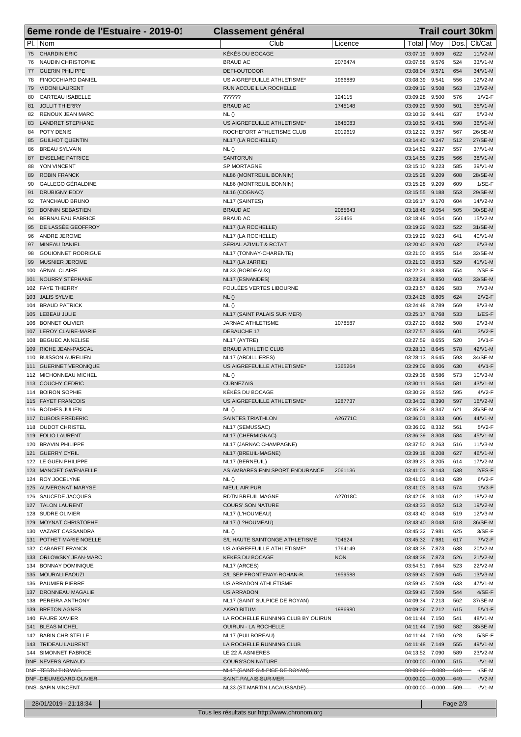| 6eme ronde de l'Estuaire - 2019-01                             | <b>Classement général</b>                              |            | <b>Trail court 30km</b>                                                      |  |
|----------------------------------------------------------------|--------------------------------------------------------|------------|------------------------------------------------------------------------------|--|
| PI.   Nom                                                      | Club                                                   | Licence    | Clt/Cat<br>Moy<br>Dos.<br>Total                                              |  |
| 75 CHARDIN ERIC                                                | KÉKÉS DU BOCAGE                                        |            | 9.609<br>622<br>03:07:19<br>$11/V2-M$                                        |  |
| 76 NAUDIN CHRISTOPHE                                           | <b>BRAUD AC</b>                                        | 2076474    | 9.576<br>524<br>33/V1-M<br>03:07:58                                          |  |
| 77 GUERIN PHILIPPE                                             | DEFI-OUTDOOR                                           |            | 34/V1-M<br>03:08:04<br>9.571<br>654                                          |  |
| <b>FINOCCHIARO DANIEL</b><br>78<br><b>VIDONI LAURENT</b><br>79 | US AIGREFEUILLE ATHLETISME*<br>RUN ACCUEIL LA ROCHELLE | 1966889    | 9.541<br>12/V2-M<br>03:08:39<br>556<br>03:09:19<br>9.508<br>563<br>13/V2-M   |  |
| CARTEAU ISABELLE<br>80                                         | ??????                                                 | 124115     | 9.500<br>576<br>$1/V2-F$<br>03:09:28                                         |  |
| 81 JOLLIT THIERRY                                              | <b>BRAUD AC</b>                                        | 1745148    | 35/V1-M<br>03:09:29<br>9.500<br>501                                          |  |
| 82 RENOUX JEAN MARC                                            | NL()                                                   |            | $5/N3-M$<br>03:10:39<br>9.441<br>637                                         |  |
| 83 LANDRET STEPHANE                                            | US AIGREFEUILLE ATHLETISME*                            | 1645083    | 03:10:52 9.431<br>36/V1-M<br>598                                             |  |
| 84 POTY DENIS                                                  | ROCHEFORT ATHLETISME CLUB                              | 2019619    | 26/SE-M<br>03:12:22<br>9.357<br>567                                          |  |
| <b>GUILHOT QUENTIN</b><br>85                                   | NL17 (LA ROCHELLE)                                     |            | 27/SE-M<br>03:14:40<br>9.247<br>512                                          |  |
| <b>BREAU SYLVAIN</b><br>86                                     | NL()                                                   |            | 03:14:52 9.237<br>37/V1-M<br>557                                             |  |
| <b>ENSELME PATRICE</b><br>87<br>YON VINCENT<br>88              | <b>SANTORUN</b><br>SP MORTAGNE                         |            | 03:14:55<br>38/V1-M<br>9.235<br>566<br>9.223<br>585<br>39/V1-M<br>03:15:10   |  |
| <b>ROBIN FRANCK</b><br>89                                      | NL86 (MONTREUIL BONNIN)                                |            | 03:15:28<br>9.209<br>28/SE-M<br>608                                          |  |
| GALLEGO GÉRALDINE<br>90                                        | NL86 (MONTREUIL BONNIN)                                |            | 9.209<br>$1/SE-F$<br>03:15:28<br>609                                         |  |
| <b>DRUBIGNY EDDY</b><br>91                                     | NL16 (COGNAC)                                          |            | 9.188<br>553<br>29/SE-M<br>03:15:55                                          |  |
| <b>TANCHAUD BRUNO</b><br>92                                    | NL17 (SAINTES)                                         |            | 14/V2-M<br>03:16:17 9.170<br>604                                             |  |
| <b>BONNIN SEBASTIEN</b><br>93                                  | <b>BRAUD AC</b>                                        | 2085643    | 30/SE-M<br>03:18:48<br>9.054<br>505                                          |  |
| <b>BERNALEAU FABRICE</b><br>94                                 | <b>BRAUD AC</b>                                        | 326456     | 9.054<br>560<br>15/V2-M<br>03:18:48                                          |  |
| DE LASSÉE GEOFFROY<br>95<br>ANDRE JEROME<br>96                 | NL17 (LA ROCHELLE)<br>NL17 (LA ROCHELLE)               |            | 03:19:29<br>9.023<br>522<br>31/SE-M<br>03:19:29<br>9.023<br>641<br>40/V1-M   |  |
| MINEAU DANIEL<br>97                                            | SÉRIAL AZIMUT & RCTAT                                  |            | 03:20:40<br>8.970<br>632<br>$6/N3-M$                                         |  |
| <b>GOUIONNET RODRIGUE</b><br>98                                | NL17 (TONNAY-CHARENTE)                                 |            | 32/SE-M<br>03:21:00<br>8.955<br>514                                          |  |
| MUSNIER JEROME<br>99                                           | NL17 (LA JARRIE)                                       |            | 03:21:03<br>8.953<br>529<br>$41/N1-M$                                        |  |
| 100 ARNAL CLAIRE                                               | NL33 (BORDEAUX)                                        |            | 8.888<br>554<br>$2/SE-F$<br>03:22:31                                         |  |
| 101 NOURRY STÉPHANE                                            | NL17 (ESNANDES)                                        |            | 03:23:24<br>8.850<br>33/SE-M<br>603                                          |  |
| 102 FAYE THIERRY                                               | FOULÉES VERTES LIBOURNE                                |            | 03:23:57<br>8.826<br>583<br>$7N3-M$                                          |  |
| 103 JALIS SYLVIE                                               | NL()                                                   |            | $2/V2-F$<br>03:24:26<br>8.805<br>624                                         |  |
| 104 BRAUD PATRICK<br>105 LEBEAU JULIE                          | NL()<br>NL17 (SAINT PALAIS SUR MER)                    |            | 8.789<br>$8/N3-M$<br>03:24:48<br>569<br>03:25:17<br>8.768<br>533<br>$1/ES-F$ |  |
| 106 BONNET OLIVIER                                             | <b>JARNAC ATHLETISME</b>                               | 1078587    | 8.682<br>$9/N3-M$<br>03:27:20<br>508                                         |  |
| 107 LEROY CLAIRE-MARIE                                         | DEBAUCHE 17                                            |            | $3/V2-F$<br>03:27:57<br>8.656<br>601                                         |  |
| 108 BEGUEC ANNELISE                                            | NL17 (AYTRE)                                           |            | $3/V1-F$<br>03:27:59<br>8.655<br>520                                         |  |
| 109 RICHE JEAN-PASCAL                                          | <b>BRAUD ATHLETIC CLUB</b>                             |            | 8.645<br>42/V1-M<br>03:28:13<br>578                                          |  |
| 110 BUISSON AURELIEN                                           | NL17 (ARDILLIERES)                                     |            | 34/SE-M<br>03:28:13 8.645<br>593                                             |  |
| 111 GUERINET VERONIQUE                                         | US AIGREFEUILLE ATHLETISME*                            | 1365264    | 630<br>$4/VI$ -F<br>03:29:09<br>8.606                                        |  |
| 112 MICHONNEAU MICHEL<br>113 COUCHY CEDRIC                     | NL()<br><b>CUBNEZAIS</b>                               |            | 03:29:38<br>8.586<br>10/V3-M<br>573<br>43/V1-M<br>8.564<br>581               |  |
| 114 BOIRON SOPHIE                                              | KÉKÉS DU BOCAGE                                        |            | 03:30:11<br>8.552<br>$4/V2-F$<br>03:30:29<br>595                             |  |
| 115 FAYET FRANCOIS                                             | US AIGREFEUILLE ATHLETISME*                            | 1287737    | 16/V2-M<br>03:34:32<br>8.390<br>597                                          |  |
| 116 RODHES JULIEN                                              | NL()                                                   |            | 03:35:39 8.347<br>35/SE-M<br>621                                             |  |
| 117 DUBOIS FREDERIC                                            | SAINTES TRIATHLON                                      | A26771C    | 03:36:01 8.333<br>44/V1-M<br>606                                             |  |
| 118 OUDOT CHRISTEL                                             | NL17 (SEMUSSAC)                                        |            | 03:36:02 8.332<br>$5/N2-F$<br>561                                            |  |
| 119 FOLIO LAURENT                                              | NL17 (CHERMIGNAC)                                      |            | 45/V1-M<br>03:36:39 8.308<br>584                                             |  |
| 120 BRAVIN PHILIPPE                                            | NL17 (JARNAC CHAMPAGNE)                                |            | 03:37:50 8.263<br>516<br>$11/N3-M$                                           |  |
| 121 GUERRY CYRIL<br>122 LE GUEN PHILIPPE                       | NL17 (BREUIL-MAGNE)<br>NL17 (BERNEUIL)                 |            | 46/V1-M<br>03:39:18 8.208<br>627<br>03:39:23 8.205<br>614<br>17/V2-M         |  |
| 123 MANCIET GWÉNAËLLE                                          | AS AMBARESIENN SPORT ENDURANCE                         | 2061136    | 03:41:03 8.143<br>538<br>$2/ES-F$                                            |  |
| 124 ROY JOCELYNE                                               | NL()                                                   |            | $6/V2-F$<br>03:41:03 8.143<br>639                                            |  |
| 125 AUVERGNAT MARYSE                                           | NIEUL AIR PUR                                          |            | 03:41:03 8.143<br>574<br>$1/\sqrt{3}$ -F                                     |  |
| 126 SAUCEDE JACQUES                                            | RDTN BREUIL MAGNE                                      | A27018C    | 8.103<br>18/V2-M<br>03:42:08<br>612                                          |  |
| 127 TALON LAURENT                                              | <b>COURS' SON NATURE</b>                               |            | 03:43:33 8.052<br>513<br>19/V2-M                                             |  |
| 128 SUDRE OLIVIER                                              | NL17 (L'HOUMEAU)                                       |            | 03:43:40 8.048<br>519<br>12/V3-M                                             |  |
| 129 MOYNAT CHRISTOPHE                                          | NL17 (L?HOUMEAU)                                       |            | 03:43:40<br>8.048<br>36/SE-M<br>518                                          |  |
| 130 VAZART CASSANDRA<br>131 POTHET MARIE NOELLE                | NL()<br>S/L HAUTE SAINTONGE ATHLETISME                 | 704624     | 03:45:32 7.981<br>625<br>$3/SE-F$<br>$7/N2-F$<br>03:45:32 7.981<br>617       |  |
| 132 CABARET FRANCK                                             | US AIGREFEUILLE ATHLETISME*                            | 1764149    | 03:48:38 7.873<br>20/V2-M<br>638                                             |  |
| 133 ORLOWSKY JEAN-MARC                                         | <b>KEKES DU BOCAGE</b>                                 | <b>NON</b> | 03:48:38 7.873<br>21/V2-M<br>526                                             |  |
| 134 BONNAY DOMINIQUE                                           | NL17 (ARCES)                                           |            | 22/V2-M<br>03:54:51 7.664<br>523                                             |  |
| 135 MOURALI FAOUZI                                             | S/L SEP FRONTENAY-ROHAN-R.                             | 1959588    | 03:59:43 7.509<br>$13/N3-M$<br>645                                           |  |
| 136 PAUMIER PIERRE                                             | US ARRADON ATHLÉTISME                                  |            | 03:59:43 7.509<br>47/V1-M<br>633                                             |  |
| 137 DRONNEAU MAGALIE                                           | <b>US ARRADON</b>                                      |            | 544<br>$4/SE-F$<br>03:59:43 7.509                                            |  |
| 138 PEREIRA ANTHONY<br>139 BRETON AGNES                        | NL17 (SAINT SULPICE DE ROYAN)<br><b>AKRO BITUM</b>     | 1986980    | 04:09:34 7.213<br>37/SE-M<br>562<br>04:09:36<br>7.212<br>$5/N1-F$<br>615     |  |
| 140 FAURE XAVIER                                               | LA ROCHELLE RUNNING CLUB BY OUIRUN                     |            | 04:11:44 7.150<br>541<br>48/V1-M                                             |  |
| 141 BLEAS MICHEL                                               | <b>OUIRUN - LA ROCHELLE</b>                            |            | 04:11:44 7.150<br>38/SE-M<br>582                                             |  |
| 142 BABIN CHRISTELLE                                           | NL17 (PUILBOREAU)                                      |            | $5/SE-F$<br>04:11:44 7.150<br>628                                            |  |
| 143 TRIDEAU LAURENT                                            | LA ROCHELLE RUNNING CLUB                               |            | 04:11:48<br>555<br>49/V1-M<br>7.149                                          |  |
| 144 SIMONNET FABRICE                                           | LE 22 À ASNIERES                                       |            | 04:13:52 7.090<br>589<br>23/V2-M                                             |  |
| DNF-NEVERS ARNAUD                                              | <b>COURS'SON NATURE</b>                                |            | 00:00:00 -0.000<br>$-V1-M$<br>$-515$                                         |  |
| DNF-TESTU THOMAS<br>DNF-DIEUMEGARD OLIVIER                     | NL17 (SAINT SULPICE DE ROYAN)<br>SAINT PALAIS SUR MER  |            | 00:00:00 -0.000<br>$-618$<br>$-SE-M$<br>00:00:00 -0.000 649<br>$-N2-M$       |  |
| DNS-SAPIN-VINCENT-                                             | NL33 (ST MARTIN LACAUSSADE)                            |            | $00:00:00 - 0.000 - 509$<br>$-N1-M$                                          |  |
|                                                                |                                                        |            |                                                                              |  |

28/01/2019 - 21:18:34 Page 2/3

Tous les résultats sur http://www.chronom.org